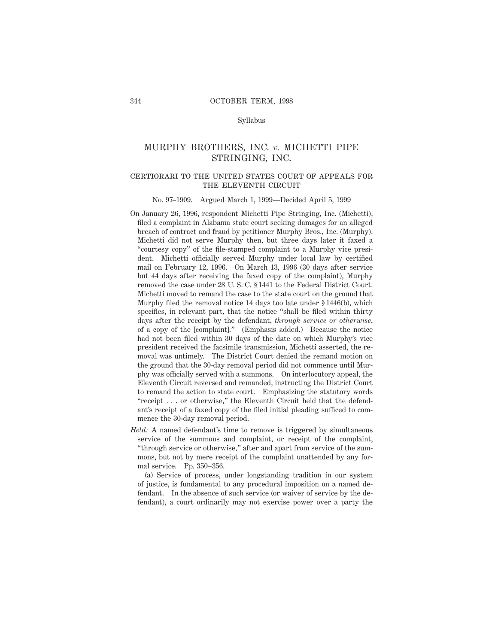#### Syllabus

## MURPHY BROTHERS, INC. *v.* MICHETTI PIPE STRINGING, INC.

### certiorari to the united states court of appeals forTHE ELEVENTH CIRCUIT

#### No. 97–1909. Argued March 1, 1999—Decided April 5, 1999

- On January 26, 1996, respondent Michetti Pipe Stringing, Inc. (Michetti), filed a complaint in Alabama state court seeking damages for an alleged breach of contract and fraud by petitioner Murphy Bros., Inc. (Murphy). Michetti did not serve Murphy then, but three days later it faxed a "courtesy copy" of the file-stamped complaint to a Murphy vice president. Michetti officially served Murphy under local law by certified mail on February 12, 1996. On March 13, 1996 (30 days after service but 44 days after receiving the faxed copy of the complaint), Murphy removed the case under 28 U. S. C. § 1441 to the Federal District Court. Michetti moved to remand the case to the state court on the ground that Murphy filed the removal notice 14 days too late under § 1446(b), which specifies, in relevant part, that the notice "shall be filed within thirty days after the receipt by the defendant, *through service or otherwise,* of a copy of the [complaint]." (Emphasis added.) Because the notice had not been filed within 30 days of the date on which Murphy's vice president received the facsimile transmission, Michetti asserted, the removal was untimely. The District Court denied the remand motion on the ground that the 30-day removal period did not commence until Murphy was officially served with a summons. On interlocutory appeal, the Eleventh Circuit reversed and remanded, instructing the District Court to remand the action to state court. Emphasizing the statutory words "receipt . . . or otherwise," the Eleventh Circuit held that the defendant's receipt of a faxed copy of the filed initial pleading sufficed to commence the 30-day removal period.
- *Held:* A named defendant's time to remove is triggered by simultaneous service of the summons and complaint, or receipt of the complaint, "through service or otherwise," after and apart from service of the summons, but not by mere receipt of the complaint unattended by any formal service. Pp. 350–356.

(a) Service of process, under longstanding tradition in our system of justice, is fundamental to any procedural imposition on a named defendant. In the absence of such service (or waiver of service by the defendant), a court ordinarily may not exercise power over a party the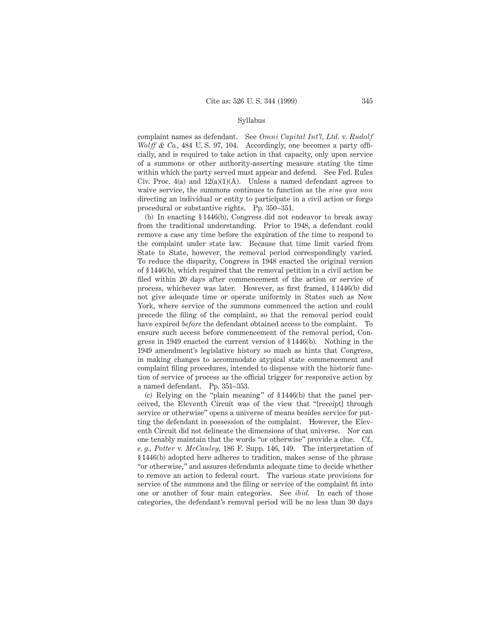#### Syllabus

complaint names as defendant. See *Omni Capital Int'l, Ltd.* v. *Rudolf Wolff & Co.*, 484 U.S. 97, 104. Accordingly, one becomes a party officially, and is required to take action in that capacity, only upon service of a summons or other authority-asserting measure stating the time within which the party served must appear and defend. See Fed. Rules Civ. Proc.  $4(a)$  and  $12(a)(1)(A)$ . Unless a named defendant agrees to waive service, the summons continues to function as the *sine qua non* directing an individual or entity to participate in a civil action or forgo procedural or substantive rights. Pp. 350–351.

(b) In enacting § 1446(b), Congress did not endeavor to break away from the traditional understanding. Prior to 1948, a defendant could remove a case any time before the expiration of the time to respond to the complaint under state law. Because that time limit varied from State to State, however, the removal period correspondingly varied. To reduce the disparity, Congress in 1948 enacted the original version of § 1446(b), which required that the removal petition in a civil action be filed within 20 days after commencement of the action or service of process, whichever was later. However, as first framed, § 1446(b) did not give adequate time or operate uniformly in States such as New York, where service of the summons commenced the action and could precede the filing of the complaint, so that the removal period could have expired *before* the defendant obtained access to the complaint. To ensure such access before commencement of the removal period, Congress in 1949 enacted the current version of § 1446(b). Nothing in the 1949 amendment's legislative history so much as hints that Congress, in making changes to accommodate atypical state commencement and complaint filing procedures, intended to dispense with the historic function of service of process as the official trigger for responsive action by a named defendant. Pp. 351–353.

(c) Relying on the "plain meaning" of § 1446(b) that the panel perceived, the Eleventh Circuit was of the view that "[receipt] through service or otherwise" opens a universe of means besides service for putting the defendant in possession of the complaint. However, the Eleventh Circuit did not delineate the dimensions of that universe. Nor can one tenably maintain that the words "or otherwise" provide a clue. Cf., *e. g., Potter* v. *McCauley,* 186 F. Supp. 146, 149. The interpretation of § 1446(b) adopted here adheres to tradition, makes sense of the phrase "or otherwise," and assures defendants adequate time to decide whether to remove an action to federal court. The various state provisions for service of the summons and the filing or service of the complaint fit into one or another of four main categories. See *ibid.* In each of those categories, the defendant's removal period will be no less than 30 days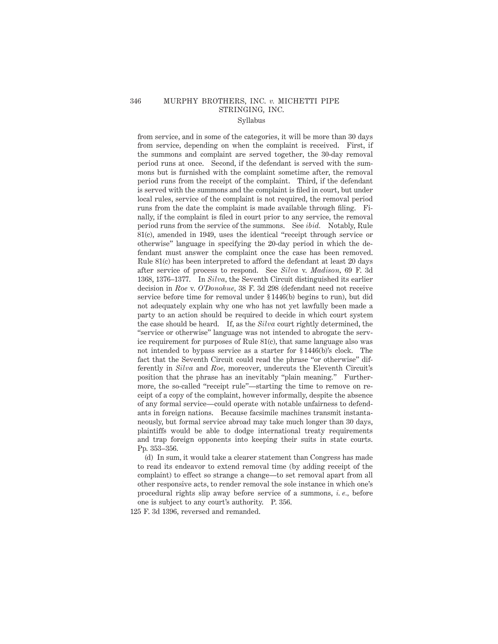# 346 MURPHY BROTHERS, INC. *v.* MICHETTI PIPE STRINGING, INC.

## Syllabus

from service, and in some of the categories, it will be more than 30 days from service, depending on when the complaint is received. First, if the summons and complaint are served together, the 30-day removal period runs at once. Second, if the defendant is served with the summons but is furnished with the complaint sometime after, the removal period runs from the receipt of the complaint. Third, if the defendant is served with the summons and the complaint is filed in court, but under local rules, service of the complaint is not required, the removal period runs from the date the complaint is made available through filing. Finally, if the complaint is filed in court prior to any service, the removal period runs from the service of the summons. See *ibid.* Notably, Rule 81(c), amended in 1949, uses the identical "receipt through service or otherwise" language in specifying the 20-day period in which the defendant must answer the complaint once the case has been removed. Rule 81(c) has been interpreted to afford the defendant at least 20 days after service of process to respond. See *Silva* v. *Madison,* 69 F. 3d 1368, 1376–1377. In *Silva,* the Seventh Circuit distinguished its earlier decision in *Roe* v. *O'Donohue,* 38 F. 3d 298 (defendant need not receive service before time for removal under § 1446(b) begins to run), but did not adequately explain why one who has not yet lawfully been made a party to an action should be required to decide in which court system the case should be heard. If, as the *Silva* court rightly determined, the "service or otherwise" language was not intended to abrogate the service requirement for purposes of Rule 81(c), that same language also was not intended to bypass service as a starter for § 1446(b)'s clock. The fact that the Seventh Circuit could read the phrase "or otherwise" differently in *Silva* and *Roe,* moreover, undercuts the Eleventh Circuit's position that the phrase has an inevitably "plain meaning." Furthermore, the so-called "receipt rule"—starting the time to remove on receipt of a copy of the complaint, however informally, despite the absence of any formal service—could operate with notable unfairness to defendants in foreign nations. Because facsimile machines transmit instantaneously, but formal service abroad may take much longer than 30 days, plaintiffs would be able to dodge international treaty requirements and trap foreign opponents into keeping their suits in state courts. Pp. 353–356.

(d) In sum, it would take a clearer statement than Congress has made to read its endeavor to extend removal time (by adding receipt of the complaint) to effect so strange a change—to set removal apart from all other responsive acts, to render removal the sole instance in which one's procedural rights slip away before service of a summons, *i. e.,* before one is subject to any court's authority. P. 356.

125 F. 3d 1396, reversed and remanded.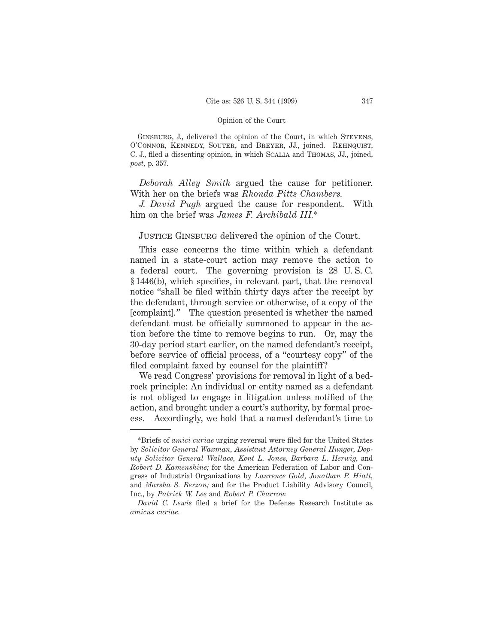GINSBURG, J., delivered the opinion of the Court, in which STEVENS, O'Connor, Kennedy, Souter, and Breyer, JJ., joined. Rehnquist, C. J., filed a dissenting opinion, in which Scalia and Thomas, JJ., joined, *post,* p. 357.

*Deborah Alley Smith* argued the cause for petitioner. With her on the briefs was *Rhonda Pitts Chambers.*

*J. David Pugh* argued the cause for respondent. With him on the brief was *James F. Archibald III.*\*

# JUSTICE GINSBURG delivered the opinion of the Court.

This case concerns the time within which a defendant named in a state-court action may remove the action to a federal court. The governing provision is 28 U. S. C. § 1446(b), which specifies, in relevant part, that the removal notice "shall be filed within thirty days after the receipt by the defendant, through service or otherwise, of a copy of the [complaint]." The question presented is whether the named defendant must be officially summoned to appear in the action before the time to remove begins to run. Or, may the 30-day period start earlier, on the named defendant's receipt, before service of official process, of a "courtesy copy" of the filed complaint faxed by counsel for the plaintiff?

We read Congress' provisions for removal in light of a bedrock principle: An individual or entity named as a defendant is not obliged to engage in litigation unless notified of the action, and brought under a court's authority, by formal process. Accordingly, we hold that a named defendant's time to

<sup>\*</sup>Briefs of *amici curiae* urging reversal were filed for the United States by *Solicitor General Waxman, Assistant Attorney General Hunger, Deputy Solicitor General Wallace, Kent L. Jones, Barbara L. Herwig,* and *Robert D. Kamenshine;* for the American Federation of Labor and Congress of Industrial Organizations by *Laurence Gold, Jonathan P. Hiatt,* and *Marsha S. Berzon;* and for the Product Liability Advisory Council, Inc., by *Patrick W. Lee* and *Robert P. Charrow.*

*David C. Lewis* filed a brief for the Defense Research Institute as *amicus curiae.*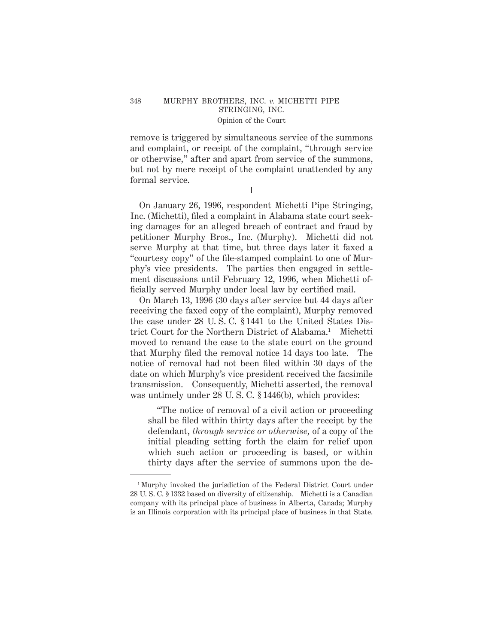## 348 MURPHY BROTHERS, INC. *v.* MICHETTI PIPE STRINGING, INC. Opinion of the Court

remove is triggered by simultaneous service of the summons and complaint, or receipt of the complaint, "through service or otherwise," after and apart from service of the summons, but not by mere receipt of the complaint unattended by any formal service.

I

On January 26, 1996, respondent Michetti Pipe Stringing, Inc. (Michetti), filed a complaint in Alabama state court seeking damages for an alleged breach of contract and fraud by petitioner Murphy Bros., Inc. (Murphy). Michetti did not serve Murphy at that time, but three days later it faxed a "courtesy copy" of the file-stamped complaint to one of Murphy's vice presidents. The parties then engaged in settlement discussions until February 12, 1996, when Michetti officially served Murphy under local law by certified mail.

On March 13, 1996 (30 days after service but 44 days after receiving the faxed copy of the complaint), Murphy removed the case under 28 U. S. C. § 1441 to the United States District Court for the Northern District of Alabama.<sup>1</sup> Michetti moved to remand the case to the state court on the ground that Murphy filed the removal notice 14 days too late. The notice of removal had not been filed within 30 days of the date on which Murphy's vice president received the facsimile transmission. Consequently, Michetti asserted, the removal was untimely under 28 U.S.C. § 1446(b), which provides:

"The notice of removal of a civil action or proceeding shall be filed within thirty days after the receipt by the defendant, *through service or otherwise,* of a copy of the initial pleading setting forth the claim for relief upon which such action or proceeding is based, or within thirty days after the service of summons upon the de-

<sup>&</sup>lt;sup>1</sup> Murphy invoked the jurisdiction of the Federal District Court under 28 U. S. C. § 1332 based on diversity of citizenship. Michetti is a Canadian company with its principal place of business in Alberta, Canada; Murphy is an Illinois corporation with its principal place of business in that State.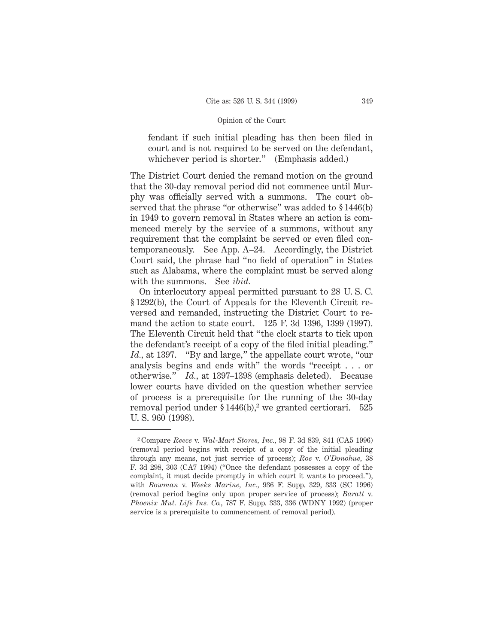fendant if such initial pleading has then been filed in court and is not required to be served on the defendant, whichever period is shorter." (Emphasis added.)

The District Court denied the remand motion on the ground that the 30-day removal period did not commence until Murphy was officially served with a summons. The court observed that the phrase "or otherwise" was added to § 1446(b) in 1949 to govern removal in States where an action is commenced merely by the service of a summons, without any requirement that the complaint be served or even filed contemporaneously. See App. A–24. Accordingly, the District Court said, the phrase had "no field of operation" in States such as Alabama, where the complaint must be served along with the summons. See *ibid.*

On interlocutory appeal permitted pursuant to 28 U. S. C. § 1292(b), the Court of Appeals for the Eleventh Circuit reversed and remanded, instructing the District Court to remand the action to state court. 125 F. 3d 1396, 1399 (1997). The Eleventh Circuit held that "the clock starts to tick upon the defendant's receipt of a copy of the filed initial pleading." *Id.,* at 1397. "By and large," the appellate court wrote, "our analysis begins and ends with" the words "receipt . . . or otherwise." *Id.,* at 1397–1398 (emphasis deleted). Because lower courts have divided on the question whether service of process is a prerequisite for the running of the 30-day removal period under  $$1446(b)<sup>2</sup>$  we granted certiorari. 525 U. S. 960 (1998).

<sup>2</sup> Compare *Reece* v. *Wal-Mart Stores, Inc.,* 98 F. 3d 839, 841 (CA5 1996) (removal period begins with receipt of a copy of the initial pleading through any means, not just service of process); *Roe* v. *O'Donohue,* 38 F. 3d 298, 303 (CA7 1994) ("Once the defendant possesses a copy of the complaint, it must decide promptly in which court it wants to proceed."), with *Bowman* v. *Weeks Marine, Inc.,* 936 F. Supp. 329, 333 (SC 1996) (removal period begins only upon proper service of process); *Baratt* v. *Phoenix Mut. Life Ins. Co.,* 787 F. Supp. 333, 336 (WDNY 1992) (proper service is a prerequisite to commencement of removal period).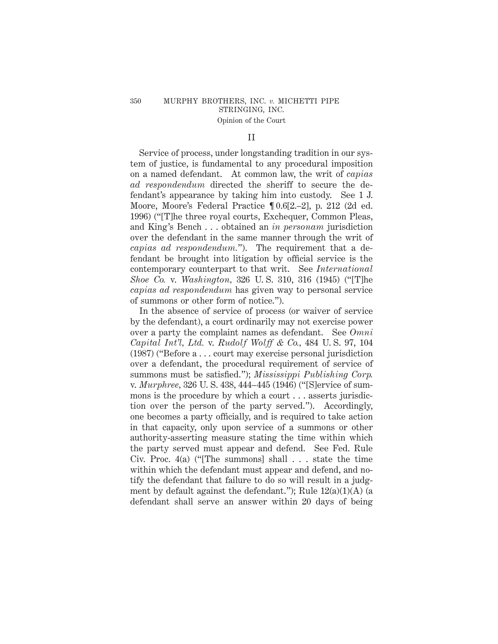## II

Service of process, under longstanding tradition in our system of justice, is fundamental to any procedural imposition on a named defendant. At common law, the writ of *capias ad respondendum* directed the sheriff to secure the defendant's appearance by taking him into custody. See 1 J. Moore, Moore's Federal Practice ¶ 0.6[2.–2], p. 212 (2d ed. 1996) ("[T]he three royal courts, Exchequer, Common Pleas, and King's Bench . . . obtained an *in personam* jurisdiction over the defendant in the same manner through the writ of *capias ad respondendum.*"). The requirement that a defendant be brought into litigation by official service is the contemporary counterpart to that writ. See *International Shoe Co.* v. *Washington,* 326 U. S. 310, 316 (1945) ("[T]he *capias ad respondendum* has given way to personal service of summons or other form of notice.").

In the absence of service of process (or waiver of service by the defendant), a court ordinarily may not exercise power over a party the complaint names as defendant. See *Omni Capital Int'l, Ltd.* v. *Rudolf Wolff & Co.,* 484 U. S. 97, 104 (1987) ("Beforea... court may exercise personal jurisdiction over a defendant, the procedural requirement of service of summons must be satisfied."); *Mississippi Publishing Corp.* v. *Murphree,* 326 U. S. 438, 444–445 (1946) ("[S]ervice of summons is the procedure by which a court . . . asserts jurisdiction over the person of the party served."). Accordingly, one becomes a party officially, and is required to take action in that capacity, only upon service of a summons or other authority-asserting measure stating the time within which the party served must appear and defend. See Fed. Rule Civ. Proc. 4(a) ("[The summons] shall . . . state the time within which the defendant must appear and defend, and notify the defendant that failure to do so will result in a judgment by default against the defendant."); Rule  $12(a)(1)(A)$  (a defendant shall serve an answer within 20 days of being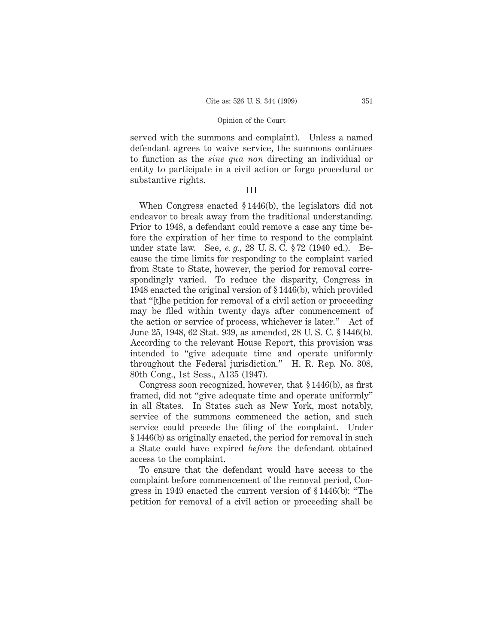served with the summons and complaint). Unless a named defendant agrees to waive service, the summons continues to function as the *sine qua non* directing an individual or entity to participate in a civil action or forgo procedural or substantive rights.

## III

When Congress enacted § 1446(b), the legislators did not endeavor to break away from the traditional understanding. Prior to 1948, a defendant could remove a case any time before the expiration of her time to respond to the complaint under state law. See, *e. g.,* 28 U. S. C. § 72 (1940 ed.). Because the time limits for responding to the complaint varied from State to State, however, the period for removal correspondingly varied. To reduce the disparity, Congress in 1948 enacted the original version of § 1446(b), which provided that "[t]he petition for removal of a civil action or proceeding may be filed within twenty days after commencement of the action or service of process, whichever is later." Act of June 25, 1948, 62 Stat. 939, as amended, 28 U. S. C. § 1446(b). According to the relevant House Report, this provision was intended to "give adequate time and operate uniformly throughout the Federal jurisdiction." H. R. Rep. No. 308, 80th Cong., 1st Sess., A135 (1947).

Congress soon recognized, however, that § 1446(b), as first framed, did not "give adequate time and operate uniformly" in all States. In States such as New York, most notably, service of the summons commenced the action, and such service could precede the filing of the complaint. Under § 1446(b) as originally enacted, the period for removal in such a State could have expired *before* the defendant obtained access to the complaint.

To ensure that the defendant would have access to the complaint before commencement of the removal period, Congress in 1949 enacted the current version of § 1446(b): "The petition for removal of a civil action or proceeding shall be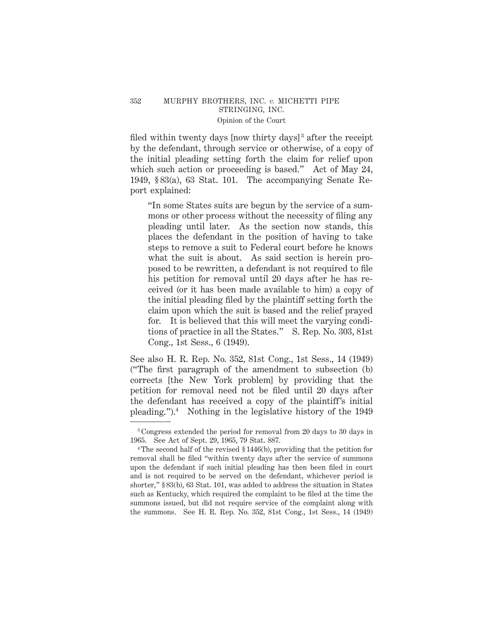filed within twenty days [now thirty days]<sup>3</sup> after the receipt by the defendant, through service or otherwise, of a copy of the initial pleading setting forth the claim for relief upon which such action or proceeding is based." Act of May 24, 1949, § 83(a), 63 Stat. 101. The accompanying Senate Report explained:

"In some States suits are begun by the service of a summons or other process without the necessity of filing any pleading until later. As the section now stands, this places the defendant in the position of having to take steps to remove a suit to Federal court before he knows what the suit is about. As said section is herein proposed to be rewritten, a defendant is not required to file his petition for removal until 20 days after he has received (or it has been made available to him) a copy of the initial pleading filed by the plaintiff setting forth the claim upon which the suit is based and the relief prayed for. It is believed that this will meet the varying conditions of practice in all the States." S. Rep. No. 303, 81st Cong., 1st Sess., 6 (1949).

See also H. R. Rep. No. 352, 81st Cong., 1st Sess., 14 (1949) ("The first paragraph of the amendment to subsection (b) corrects [the New York problem] by providing that the petition for removal need not be filed until 20 days after the defendant has received a copy of the plaintiff's initial pleading.").<sup>4</sup> Nothing in the legislative history of the  $1949$ 

<sup>3</sup> Congress extended the period for removal from 20 days to 30 days in 1965. See Act of Sept. 29, 1965, 79 Stat. 887.

<sup>4</sup> The second half of the revised § 1446(b), providing that the petition for removal shall be filed "within twenty days after the service of summons upon the defendant if such initial pleading has then been filed in court and is not required to be served on the defendant, whichever period is shorter," § 83(b), 63 Stat. 101, was added to address the situation in States such as Kentucky, which required the complaint to be filed at the time the summons issued, but did not require service of the complaint along with the summons. See H. R. Rep. No. 352, 81st Cong., 1st Sess., 14 (1949)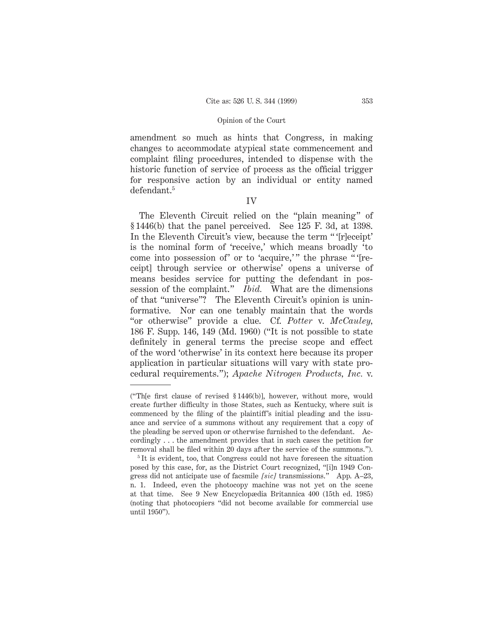amendment so much as hints that Congress, in making changes to accommodate atypical state commencement and complaint filing procedures, intended to dispense with the historic function of service of process as the official trigger for responsive action by an individual or entity named defendant.5

## IV

The Eleventh Circuit relied on the "plain meaning" of § 1446(b) that the panel perceived. See 125 F. 3d, at 1398. In the Eleventh Circuit's view, because the term " '[r]eceipt' is the nominal form of 'receive,' which means broadly 'to come into possession of' or to 'acquire,'" the phrase "'[receipt] through service or otherwise' opens a universe of means besides service for putting the defendant in possession of the complaint." *Ibid.* What are the dimensions of that "universe"? The Eleventh Circuit's opinion is uninformative. Nor can one tenably maintain that the words "or otherwise" provide a clue. Cf. *Potter* v. *McCauley,* 186 F. Supp. 146, 149 (Md. 1960) ("It is not possible to state definitely in general terms the precise scope and effect of the word 'otherwise' in its context here because its proper application in particular situations will vary with state procedural requirements."); *Apache Nitrogen Products, Inc.* v.

<sup>(&</sup>quot;Th[e first clause of revised § 1446(b)], however, without more, would create further difficulty in those States, such as Kentucky, where suit is commenced by the filing of the plaintiff's initial pleading and the issuance and service of a summons without any requirement that a copy of the pleading be served upon or otherwise furnished to the defendant. Accordingly . . . the amendment provides that in such cases the petition for removal shall be filed within 20 days after the service of the summons.").

<sup>&</sup>lt;sup>5</sup>It is evident, too, that Congress could not have foreseen the situation posed by this case, for, as the District Court recognized, "[i]n 1949 Congress did not anticipate use of facsmile *[sic]* transmissions." App. A–23, n. 1. Indeed, even the photocopy machine was not yet on the scene at that time. See 9 New Encyclopædia Britannica 400 (15th ed. 1985) (noting that photocopiers "did not become available for commercial use until 1950").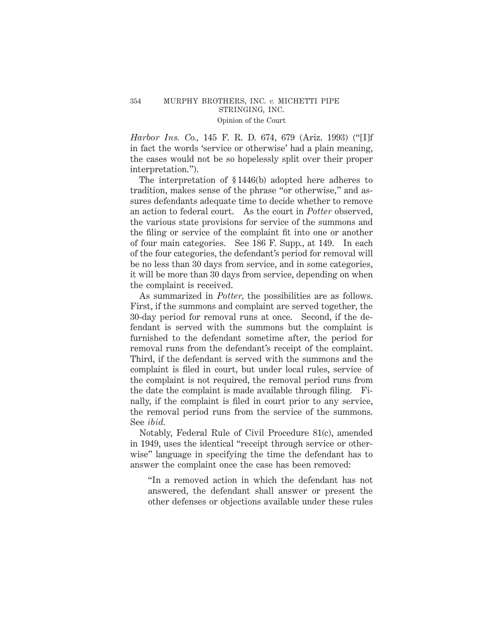## 354 MURPHY BROTHERS, INC. *v.* MICHETTI PIPE STRINGING, INC. Opinion of the Court

*Harbor Ins. Co.,* 145 F. R. D. 674, 679 (Ariz. 1993) ("[I]f in fact the words 'service or otherwise' had a plain meaning, the cases would not be so hopelessly split over their proper interpretation.").

The interpretation of § 1446(b) adopted here adheres to tradition, makes sense of the phrase "or otherwise," and assures defendants adequate time to decide whether to remove an action to federal court. As the court in *Potter* observed, the various state provisions for service of the summons and the filing or service of the complaint fit into one or another of four main categories. See 186 F. Supp., at 149. In each of the four categories, the defendant's period for removal will be no less than 30 days from service, and in some categories, it will be more than 30 days from service, depending on when the complaint is received.

As summarized in *Potter,* the possibilities are as follows. First, if the summons and complaint are served together, the 30-day period for removal runs at once. Second, if the defendant is served with the summons but the complaint is furnished to the defendant sometime after, the period for removal runs from the defendant's receipt of the complaint. Third, if the defendant is served with the summons and the complaint is filed in court, but under local rules, service of the complaint is not required, the removal period runs from the date the complaint is made available through filing. Finally, if the complaint is filed in court prior to any service, the removal period runs from the service of the summons. See *ibid.*

Notably, Federal Rule of Civil Procedure 81(c), amended in 1949, uses the identical "receipt through service or otherwise" language in specifying the time the defendant has to answer the complaint once the case has been removed:

"In a removed action in which the defendant has not answered, the defendant shall answer or present the other defenses or objections available under these rules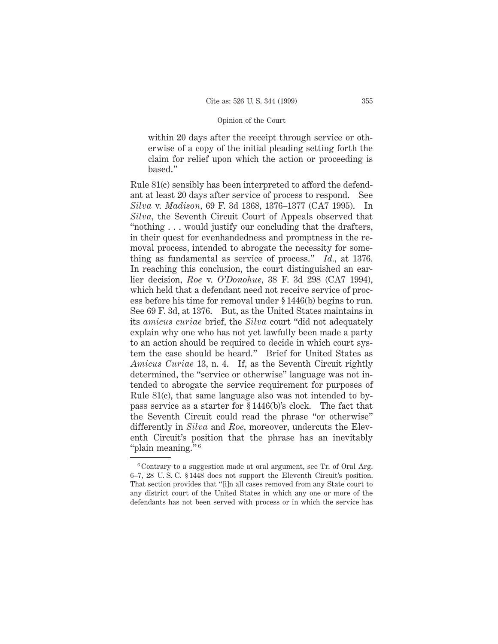within 20 days after the receipt through service or otherwise of a copy of the initial pleading setting forth the claim for relief upon which the action or proceeding is based."

Rule 81(c) sensibly has been interpreted to afford the defendant at least 20 days after service of process to respond. See *Silva* v. *Madison,* 69 F. 3d 1368, 1376–1377 (CA7 1995). In *Silva,* the Seventh Circuit Court of Appeals observed that "nothing . . . would justify our concluding that the drafters, in their quest for evenhandedness and promptness in the removal process, intended to abrogate the necessity for something as fundamental as service of process." *Id.,* at 1376. In reaching this conclusion, the court distinguished an earlier decision, *Roe* v. *O'Donohue,* 38 F. 3d 298 (CA7 1994), which held that a defendant need not receive service of process before his time for removal under § 1446(b) begins to run. See 69 F. 3d, at 1376. But, as the United States maintains in its *amicus curiae* brief, the *Silva* court "did not adequately explain why one who has not yet lawfully been made a party to an action should be required to decide in which court system the case should be heard." Brief for United States as *Amicus Curiae* 13, n. 4. If, as the Seventh Circuit rightly determined, the "service or otherwise" language was not intended to abrogate the service requirement for purposes of Rule 81(c), that same language also was not intended to bypass service as a starter for § 1446(b)'s clock. The fact that the Seventh Circuit could read the phrase "or otherwise" differently in *Silva* and *Roe,* moreover, undercuts the Eleventh Circuit's position that the phrase has an inevitably "plain meaning." <sup>6</sup>

<sup>6</sup> Contrary to a suggestion made at oral argument, see Tr. of Oral Arg. 6–7, 28 U. S. C. § 1448 does not support the Eleventh Circuit's position. That section provides that "[i]n all cases removed from any State court to any district court of the United States in which any one or more of the defendants has not been served with process or in which the service has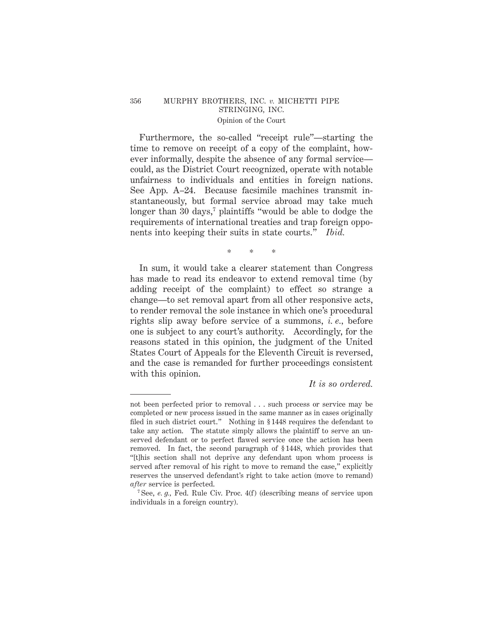## 356 MURPHY BROTHERS, INC. *v.* MICHETTI PIPE STRINGING, INC. Opinion of the Court

Furthermore, the so-called "receipt rule"—starting the time to remove on receipt of a copy of the complaint, however informally, despite the absence of any formal service could, as the District Court recognized, operate with notable unfairness to individuals and entities in foreign nations. See App. A–24. Because facsimile machines transmit instantaneously, but formal service abroad may take much longer than 30 days,<sup>7</sup> plaintiffs "would be able to dodge the requirements of international treaties and trap foreign opponents into keeping their suits in state courts." *Ibid.*

# \*\*\*

In sum, it would take a clearer statement than Congress has made to read its endeavor to extend removal time (by adding receipt of the complaint) to effect so strange a change—to set removal apart from all other responsive acts, to render removal the sole instance in which one's procedural rights slip away before service of a summons, *i. e.,* before one is subject to any court's authority. Accordingly, for the reasons stated in this opinion, the judgment of the United States Court of Appeals for the Eleventh Circuit is reversed, and the case is remanded for further proceedings consistent with this opinion.

## *It is so ordered.*

not been perfected prior to removal . . . such process or service may be completed or new process issued in the same manner as in cases originally filed in such district court." Nothing in § 1448 requires the defendant to take any action. The statute simply allows the plaintiff to serve an unserved defendant or to perfect flawed service once the action has been removed. In fact, the second paragraph of § 1448, which provides that "[t]his section shall not deprive any defendant upon whom process is served after removal of his right to move to remand the case," explicitly reserves the unserved defendant's right to take action (move to remand) *after* service is perfected.

<sup>7</sup> See, *e. g.,* Fed. Rule Civ. Proc. 4(f) (describing means of service upon individuals in a foreign country).